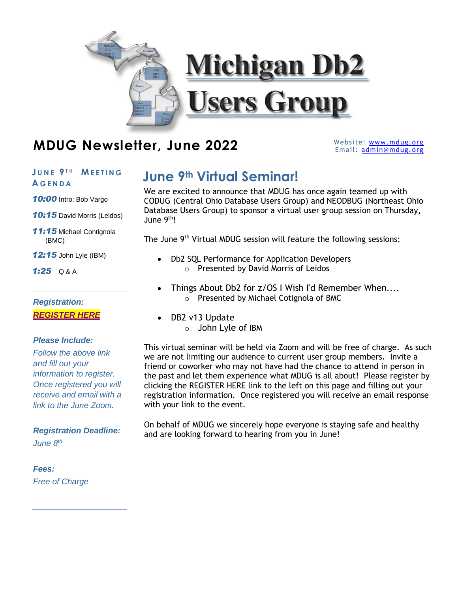

## **MDUG Newsletter, June 2022**

Website: [www.mdug.org](http://www.mdug.org/) Email: [admin@mdug.org](mailto:admin@mdug.org)

## **A G E N D A**

10:00 Intro: Bob Vargo

*10:15* David Morris (Leidos)

*11:15* Michael Contignola (BMC)

*12:15* John Lyle (IBM)

*1:25* Q & A

*Registration: [REGISTER HERE](https://bmc.zoom.us/webinar/register/WN_PMrWZZBmTnaStT-OepRdJQ)*

### *Please Include:*

*Follow the above link and fill out your information to register. Once registered you will receive and email with a link to the June Zoom.*

## *Registration Deadline: June 8 th*

## *Fees: Free of Charge*

# **JUNE<sup>9<sub>TH</sub></sup> MEETING** June 9<sup>th</sup> Virtual Seminar!

We are excited to announce that MDUG has once again teamed up with CODUG (Central Ohio Database Users Group) and NEODBUG (Northeast Ohio Database Users Group) to sponsor a virtual user group session on Thursday, June 9<sup>th</sup>!

The June 9<sup>th</sup> Virtual MDUG session will feature the following sessions:

- Db2 SQL Performance for Application Developers o Presented by David Morris of Leidos
- Things About Db2 for z/OS I Wish I'd Remember When.... o Presented by Michael Cotignola of BMC
- DB2 v13 Update
	- o John Lyle of IBM

This virtual seminar will be held via Zoom and will be free of charge. As such we are not limiting our audience to current user group members. Invite a friend or coworker who may not have had the chance to attend in person in the past and let them experience what MDUG is all about! Please register by clicking the REGISTER HERE link to the left on this page and filling out your registration information. Once registered you will receive an email response with your link to the event.

On behalf of MDUG we sincerely hope everyone is staying safe and healthy and are looking forward to hearing from you in June!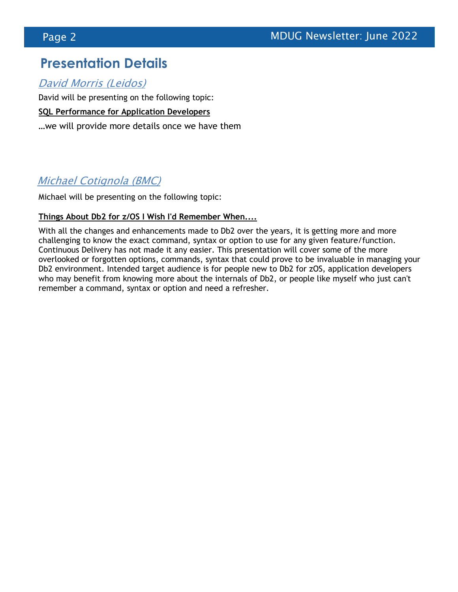## **Presentation Details**

David Morris (Leidos)

David will be presenting on the following topic:

**SQL Performance for Application Developers**

…we will provide more details once we have them

## Michael Cotignola (BMC)

Michael will be presenting on the following topic:

### **Things About Db2 for z/OS I Wish I'd Remember When....**

With all the changes and enhancements made to Db2 over the years, it is getting more and more challenging to know the exact command, syntax or option to use for any given feature/function. Continuous Delivery has not made it any easier. This presentation will cover some of the more overlooked or forgotten options, commands, syntax that could prove to be invaluable in managing your Db2 environment. Intended target audience is for people new to Db2 for zOS, application developers who may benefit from knowing more about the internals of Db2, or people like myself who just can't remember a command, syntax or option and need a refresher.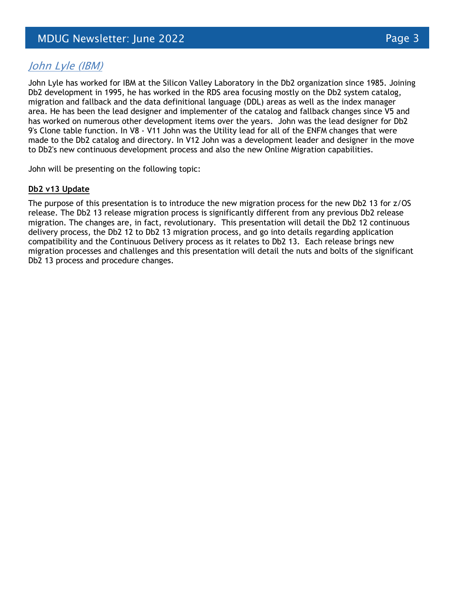## John Lyle (IBM)

John Lyle has worked for IBM at the Silicon Valley Laboratory in the Db2 organization since 1985. Joining Db2 development in 1995, he has worked in the RDS area focusing mostly on the Db2 system catalog, migration and fallback and the data definitional language (DDL) areas as well as the index manager area. He has been the lead designer and implementer of the catalog and fallback changes since V5 and has worked on numerous other development items over the years. John was the lead designer for Db2 9's Clone table function. In V8 - V11 John was the Utility lead for all of the ENFM changes that were made to the Db2 catalog and directory. In V12 John was a development leader and designer in the move to Db2's new continuous development process and also the new Online Migration capabilities.

John will be presenting on the following topic:

### **Db2 v13 Update**

The purpose of this presentation is to introduce the new migration process for the new Db2 13 for z/OS release. The Db2 13 release migration process is significantly different from any previous Db2 release migration. The changes are, in fact, revolutionary. This presentation will detail the Db2 12 continuous delivery process, the Db2 12 to Db2 13 migration process, and go into details regarding application compatibility and the Continuous Delivery process as it relates to Db2 13. Each release brings new migration processes and challenges and this presentation will detail the nuts and bolts of the significant Db2 13 process and procedure changes.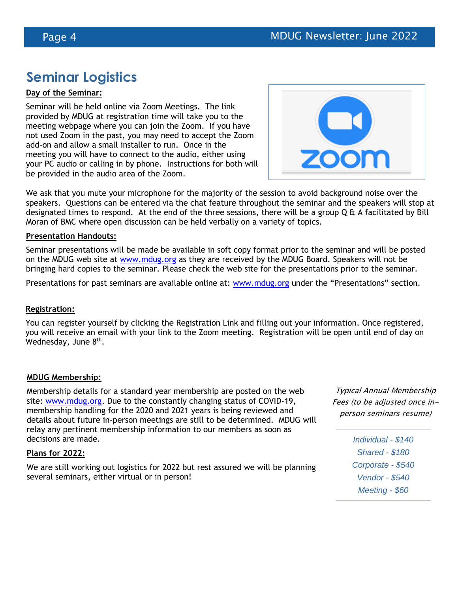## **Seminar Logistics**

### **Day of the Seminar:**

Seminar will be held online via Zoom Meetings. The link provided by MDUG at registration time will take you to the meeting webpage where you can join the Zoom. If you have not used Zoom in the past, you may need to accept the Zoom add-on and allow a small installer to run. Once in the meeting you will have to connect to the audio, either using your PC audio or calling in by phone. Instructions for both will be provided in the audio area of the Zoom.



We ask that you mute your microphone for the majority of the session to avoid background noise over the speakers. Questions can be entered via the chat feature throughout the seminar and the speakers will stop at designated times to respond. At the end of the three sessions, there will be a group  $Q \hat{a}$  A facilitated by Bill Moran of BMC where open discussion can be held verbally on a variety of topics.

#### **Presentation Handouts:**

Seminar presentations will be made be available in soft copy format prior to the seminar and will be posted on the MDUG web site at [www.mdug.org](http://www.mdug.org/) as they are received by the MDUG Board. Speakers will not be bringing hard copies to the seminar. Please check the web site for the presentations prior to the seminar.

Presentations for past seminars are available online at: [www.mdug.org](http://www.mdug.org/) under the "Presentations" section.

#### **Registration:**

You can register yourself by clicking the Registration Link and filling out your information. Once registered, you will receive an email with your link to the Zoom meeting. Registration will be open until end of day on Wednesday, June 8<sup>th</sup>.

#### **MDUG Membership:**

Membership details for a standard year membership are posted on the web site: [www.mdug.org.](http://www.mdug.org/) Due to the constantly changing status of COVID-19, membership handling for the 2020 and 2021 years is being reviewed and details about future in-person meetings are still to be determined. MDUG will relay any pertinent membership information to our members as soon as decisions are made.

#### **Plans for 2022:**

We are still working out logistics for 2022 but rest assured we will be planning several seminars, either virtual or in person!

Typical Annual Membership Fees (to be adjusted once inperson seminars resume)

> *Individual - \$140 Shared - \$180 Corporate - \$540 Vendor - \$540 Meeting - \$60*